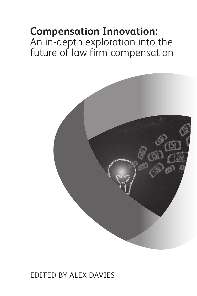# **Compensation Innovation:**  An in-depth exploration into the future of law firm compensation



### Edited by Alex Davies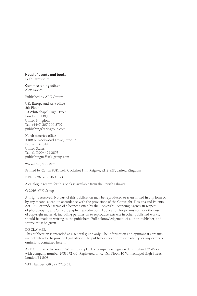### **Head of events and books**

Leah Darbyshire

**Commissioning editor** Alex Davies

Published by ARK Group:

UK, Europe and Asia office 5th Floor 10 Whitechapel High Street London, E1 8QS United Kingdom Tel: +44(0) 207 566 5792 publishing@ark-group.com

North America office 4408 N. Rockwood Drive, Suite 150 Peoria IL 61614 United States Tel: +1 (309) 495 2853 publishingna@ark-group.com

www.ark-group.com

Printed by Canon (UK) Ltd, Cockshot Hill, Reigate, RH2 8BF, United Kingdom

ISBN: 978-1-78358-318-8

A catalogue record for this book is available from the British Library

© 2016 ARK Group

All rights reserved. No part of this publication may be reproduced or transmitted in any form or by any means, except in accordance with the provisions of the Copyright, Designs and Patents Act 1988 or under terms of a licence issued by the Copyright Licencing Agency in respect of photocopying and/or reprographic reproduction. Application for permission for other use of copyright material, including permission to reproduce extracts in other published works, should be made in writing to the publishers. Full acknowledgement of author, publisher, and source must be given.

#### DISCLAIMER

This publication is intended as a general guide only. The information and opinions it contains are not intended to provide legal advice. The publishers bear no responsibility for any errors or omissions contained herein.

ARK Group is a division of Wilmington plc. The company is registered in England & Wales with company number 2931372 GB. Registered office: 5th Floor, 10 Whitechapel High Street, London E1 8QS.

VAT Number: GB 899 3725 51.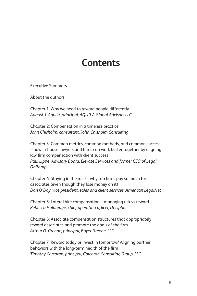# **Contents**

Executive Summary

About the authors

Chapter 1: Why we need to reward people differently *August J. Aquila, principal, AQUILA Global Advisors LLC*

Chapter 2: Compensation in a timeless practice *John Chisholm, consultant, John Chisholm Consulting*

Chapter 3: Common metrics, common methods, and common success – how in-house lawyers and firms can work better together by aligning law firm compensation with client success *Paul Lippe, Advisory Board, Elevate Services and former CEO of Legal OnRamp*

Chapter 4: Staying in the race – why top firms pay so much for associates (even though they lose money on it) *Dan O'Day, vice president, sales and client services, American LegalNet*

Chapter 5: Lateral hire compensation – managing risk vs reward *Rebecca Holdredge, chief operating officer, Decipher* 

Chapter 6: Associate compensation structures that appropriately reward associates and promote the goals of the firm *Arthur G. Greene, principal, Boyer Greene, LLC*

Chapter 7: Reward today or invest in tomorrow? Aligning partner behaviors with the long-term health of the firm *Timothy Corcoran, principal, Corcoran Consulting Group, LLC*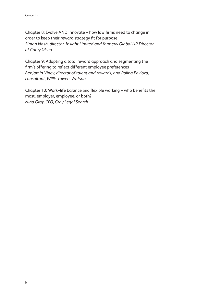Chapter 8: Evolve AND innovate – how law firms need to change in order to keep their reward strategy fit for purpose *Simon Nash, director, Insight Limited and formerly Global HR Director at Carey Olsen* 

Chapter 9: Adopting a total reward approach and segmenting the firm's offering to reflect different employee preferences *Benjamin Viney, director of talent and rewards, and Polina Pavlova, consultant, Willis Towers Watson* 

Chapter 10: Work–life balance and flexible working – who benefits the most, employer, employee, or both? *Nina Gray, CEO, Gray Legal Search*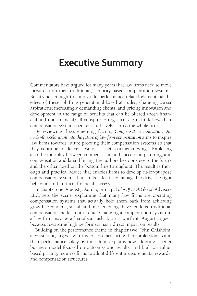### **Executive Summary**

Commentators have argued for many years that law firms need to move forward from their traditional, seniority-based compensation systems. But it's not enough to simply add performance-related elements at the edges of these. Shifting generational-based attitudes; changing career aspirations; increasingly demanding clients; and pricing innovation and development in the range of benefits that can be offered (both financial and non-financial) all conspire to urge firms to rethink how their compensation system operates at all levels, across the whole firm.

By reviewing these emerging factors, *Compensation Innovation: An in-depth exploration into the future of law firm compensation* aims to inspire law firms towards future proofing their compensation systems so that they continue to deliver results as their partnerships age. Exploring also the interplay between compensation and succession planning, and compensation and lateral hiring, the authors keep one eye to the future and the other fixed on the bottom line throughout. The result is thorough and practical advice that enables firms to develop fit-for-purpose compensation systems that can be effectively managed to drive the right behaviors and, in turn, financial success.

In chapter one, August J. Aquila, principal of AQUILA Global Advisers LLC, sets the scene, explaining that many law firms are operating compensation systems that actually hold them back from achieving growth. Economic, social, and market change have rendered traditional compensation models out of date. Changing a compensation system in a law firm may be a herculean task, but it's worth it, August argues, because rewarding high performers has a direct impact on results.

Building on the performance theme in chapter two, John Chisholm, a consultant, urges law firms to stop measuring their professionals and their performance solely by time. John explains how adopting a better business model focused on outcomes and results, and built on valuebased pricing, requires firms to adopt different measurements, rewards, and compensation structures.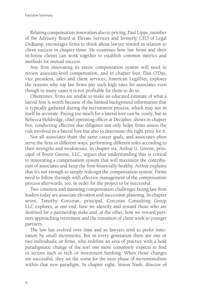Relating compensation innovation also to pricing, Paul Lippe, member of the Advisory Board at Elevate Services and formerly CEO of Legal OnRamp, encourages firms to think about lawyer reward in relation to client success in chapter three. He examines how law firms and their in-house clients can work together to establish common metrics and methods for mutual success.

Any firm innovating its entire compensation system will need to review associate-level compensation, and in chapter four, Dan O'Day, vice president, sales and client services, American LegalNet, explores the reasons why top law firms pay such high rates for associates even though in many cases it is not profitable for them to do so.

Oftentimes, firms are unable to make an educated estimate of what a lateral hire is worth because of the limited background information that is typically gathered during the recruitment process, which may not in itself be accurate. Paying too much for a lateral hire can be costly, but as Rebecca Holdredge, chief operating officer at Decipher, shows in chapter five, conducting effective due diligence not only helps firms assess the risk involved in a lateral hire but also to determine the right price for it.

Not all associates share the same career goals, and associates often serve the firm in different ways, performing different roles according to their strengths and weaknesses. In chapter six, Arthur G. Greene, principal of Boyer Greene, LLC, argues that understanding this is critical to innovating a compensation system that will maximize the contribution of associates and keep the firm financially healthy. Arthur explains that it's not enough to simply redesign the compensation system. Firms need to follow through with effective management of the compensation process afterwards, too, in order for the project to be successful.

Two common and daunting compensation challenges facing law firm leaders today are associate elevation and succession planning. In chapter seven, Timothy Corcoran, principal, Corcoran Consulting Group LLC explores, at one end, how we identify and reward those who are destined for a partnership stake and, at the other, how we reward partners approaching retirement and the transition of client work to younger partners.

The law has evolved over time and so lawyers tend to prefer innovation by small increments. But in every generation there are one or two individuals, or firms, who redefine an area of practice with a bold paradigmatic change of the sort one more commonly expects to find in sectors such as tech or investment banking. When those changes are successful, they set the scene for the next phase of incrementalism within that new paradigm. In chapter eight, Simon Nash, director of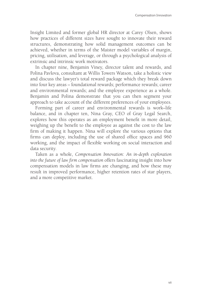Insight Limited and former global HR director at Carey Olsen, shows how practices of different sizes have sought to innovate their reward structures, demonstrating how solid management outcomes can be achieved, whether in terms of the Maister model variables of margin, pricing, utilisation, and leverage, or through a psychological analysis of extrinsic and intrinsic work motivators.

In chapter nine, Benjamin Viney, director talent and rewards, and Polina Pavlova, consultant at Willis Towers Watson, take a holistic view and discuss the lawyer's total reward package which they break down into four key areas – foundational rewards; performance rewards; career and environmental rewards; and the employee experience as a whole. Benjamin and Polina demonstrate that you can then segment your approach to take account of the different preferences of your employees.

Forming part of career and environmental rewards is work–life balance, and in chapter ten, Nina Gray, CEO of Gray Legal Search, explores how this operates as an employment benefit in more detail, weighing up the benefit to the employee as against the cost to the law firm of making it happen. Nina will explore the various options that firms can deploy, including the use of shared office spaces and 960 working, and the impact of flexible working on social interaction and data security.

Taken as a whole, *Compensation Innovation: An in-depth exploration into the future of law firm compensation* offers fascinating insight into how compensation models in law firms are changing, and how these may result in improved performance, higher retention rates of star players, and a more competitive market.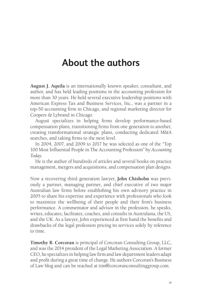## **About the authors**

**August J. Aquila** is an internationally known speaker, consultant, and author, and has held leading positions in the accounting profession for more than 30 years. He held several executive leadership positions with American Express Tax and Business Services, Inc., was a partner in a top-50 accounting firm in Chicago, and regional marketing director for Coopers & Lybrand in Chicago.

August specializes in helping firms develop performance-based compensation plans, transitioning firms from one generation to another, creating transformational strategic plans, conducting dedicated M&A searches, and taking firms to the next level.

In 2004, 2007, and 2009 to 2017 he was selected as one of the "Top 100 Most Influential People in The Accounting Profession" by *Accounting Today*.

He is the author of hundreds of articles and several books on practice management, mergers and acquisitions, and compensation plan designs.

Now a recovering third generation lawyer, **John Chisholm** was previously a partner, managing partner, and chief executive of two major Australian law firms before establishing his own advisory practice in 2005 to share his expertise and experience with professionals who look to maximize the wellbeing of their people and their firm's business performance. A commentator and advisor in the profession, he speaks, writes, educates, facilitates, coaches, and consults in Australasia, the US, and the UK. As a lawyer, John experienced at first hand the benefits and drawbacks of the legal profession pricing its services solely by reference to time.

**Timothy B. Corcoran** is principal of Corcoran Consulting Group, LLC, and was the 2014 president of the Legal Marketing Association. A former CEO, he specializes in helping law firm and law department leaders adapt and profit during a great time of change. He authors Corcoran's Business of Law blog and can be reached at tim@corcoranconsultinggroup.com.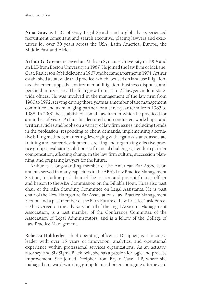**Nina Gray** is CEO of Gray Legal Search and a globally experienced recruitment consultant and search executive, placing lawyers and executives for over 30 years across the USA, Latin America, Europe, the Middle East and Africa.

**Arthur G. Greene** received an AB from Syracuse University in 1964 and an LLB from Boston University in 1967. He joined the law firm of McLane, Graf, Raulerson & Middleton in 1967 and became a partner in 1974. Arthur established a statewide trial practice, which focused on land use litigation, tax abatement appeals, environmental litigation, business disputes, and personal injury cases. The firm grew from 13 to 27 lawyers in four statewide offices. He was involved in the management of the law firm from 1980 to 1992, serving during those years as a member of the management committee and as managing partner for a three-year term from 1985 to 1988. In 2000, he established a small law firm in which he practiced for a number of years. Arthur has lectured and conducted workshops, and written articles and books on a variety of law firm issues, including trends in the profession, responding to client demands, implementing alternative billing methods, marketing, leveraging with legal assistants, associate training and career development, creating and organizing effective practice groups, evaluating solutions to financial challenges, trends in partner compensation, affecting change in the law firm culture, succession planning, and preparing lawyers for the future.

Arthur is a long-standing member of the American Bar Association and has served in many capacities in the ABA's Law Practice Management Section, including past chair of the section and present finance officer and liaison to the ABA Commission on the Billable Hour. He is also past chair of the ABA Standing Committee on Legal Assistants. He is past chair of the New Hampshire Bar Association's Law Practice Management Section and a past member of the Bar's Future of Law Practice Task Force. He has served on the advisory board of the Legal Assistant Management Association, is a past member of the Conference Committee of the Association of Legal Administrators, and is a fellow of the College of Law Practice Management.

**Rebecca Holdredge**, chief operating officer at Decipher, is a business leader with over 15 years of innovation, analytics, and operational experience within professional services organizations. As an actuary, attorney, and Six Sigma Black Belt, she has a passion for logic and process improvement. She joined Decipher from Bryan Cave LLP, where she managed an award-winning group focused on encouraging attorneys to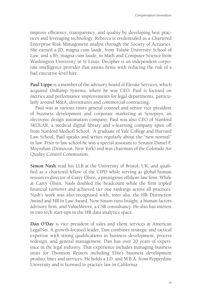improve efficiency, transparency, and quality by developing best practices and leveraging technology. Rebecca is credentialed as a Chartered Enterprise Risk Management analyst through the Society of Actuaries. She earned a JD, magna cum laude, from Tulane University School of Law, and a BS, magna cum laude, in Math and Computer Science from Washington University in St Louis. Decipher is an independent corporate intelligence provider that assists firms with reducing the risk of a bad executive-level hire.

**Paul Lippe** is a member of the advisory board of Elevate Services, which acquired OnRamp Systems, where he was CEO. Paul is focused on metrics and performance improvements for legal departments, particularly around M&A, divestitures and commercial contracting.

Paul was at various times general counsel and senior vice president of business development and corporate marketing at Synopsys, an electronic design automation company. Paul was also CEO of Stanford SKOLAR, a medical digital library and e-learning company spun off from Stanford Medical School. A graduate of Yale College and Harvard Law School, Paul speaks and writes regularly about the "new normal" in law. Prior to law school he was a special assistant to Senator Daniel P. Moynihan (Democrat, New York) and was chairman of the Colorado Air Quality Control Commission.

**Simon Nash** read his LLB at the University of Bristol, UK, and qualified as a chartered fellow of the CIPD while serving as global human resources director of Carey Olsen, a prestigious offshore law firm. While at Carey Olsen, Nash doubled the headcount while the firm tripled financial turnover and achieved tier one rankings across all practices. Nash's work was also recognised with, inter alia, the HR Distinction Award and HR in Law Award. Now Simon runs Insight, a human factors advisory firm, and ValueMetrix, a CSR consultancy. He also has interest in two tech start-ups in the HR data analytics space.

**Dan O'Day** is vice president of sales and client services at American LegalNet. A growth-focused leader, Dan combines strategic and tactical expertise with strong qualifications in business development, process redesign, and general management. Dan has over 20 years of experience in the legal industry. That experience includes managing business units for Thomson Reuters including Elite's business development product lines and services. He holds a J.D. and M.B.A. from Pepperdine University and is licensed to practice law in California.